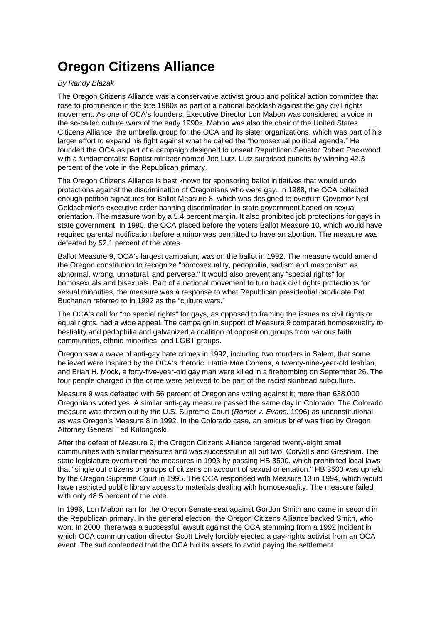## **Oregon Citizens Alliance**

## By Randy Blazak

The Oregon Citizens Alliance was a conservative activist group and political action committee that rose to prominence in the late 1980s as part of a national backlash against the gay civil rights movement. As one of OCA's founders, Executive Director Lon Mabon was considered a voice in the so-called culture wars of the early 1990s. Mabon was also the chair of the United States Citizens Alliance, the umbrella group for the OCA and its sister organizations, which was part of his larger effort to expand his fight against what he called the "homosexual political agenda." He founded the OCA as part of a campaign designed to unseat Republican Senator Robert Packwood with a fundamentalist Baptist minister named Joe Lutz. Lutz surprised pundits by winning 42.3 percent of the vote in the Republican primary.

The Oregon Citizens Alliance is best known for sponsoring ballot initiatives that would undo protections against the discrimination of Oregonians who were gay. In 1988, the OCA collected enough petition signatures for Ballot Measure 8, which was designed to overturn Governor Neil Goldschmidt's executive order banning discrimination in state government based on sexual orientation. The measure won by a 5.4 percent margin. It also prohibited job protections for gays in state government. In 1990, the OCA placed before the voters Ballot Measure 10, which would have required parental notification before a minor was permitted to have an abortion. The measure was defeated by 52.1 percent of the votes.

Ballot Measure 9, OCA's largest campaign, was on the ballot in 1992. The measure would amend the Oregon constitution to recognize "homosexuality, pedophilia, sadism and masochism as abnormal, wrong, unnatural, and perverse." It would also prevent any "special rights" for homosexuals and bisexuals. Part of a national movement to turn back civil rights protections for sexual minorities, the measure was a response to what Republican presidential candidate Pat Buchanan referred to in 1992 as the "culture wars."

The OCA's call for "no special rights" for gays, as opposed to framing the issues as civil rights or equal rights, had a wide appeal. The campaign in support of Measure 9 compared homosexuality to bestiality and pedophilia and galvanized a coalition of opposition groups from various faith communities, ethnic minorities, and LGBT groups.

Oregon saw a wave of anti-gay hate crimes in 1992, including two murders in Salem, that some believed were inspired by the OCA's rhetoric. Hattie Mae Cohens, a twenty-nine-year-old lesbian, and Brian H. Mock, a forty-five-year-old gay man were killed in a firebombing on September 26. The four people charged in the crime were believed to be part of the racist skinhead subculture.

Measure 9 was defeated with 56 percent of Oregonians voting against it; more than 638,000 Oregonians voted yes. A similar anti-gay measure passed the same day in Colorado. The Colorado measure was thrown out by the U.S. Supreme Court (Romer v. Evans, 1996) as unconstitutional, as was Oregon's Measure 8 in 1992. In the Colorado case, an amicus brief was filed by Oregon Attorney General Ted Kulongoski.

After the defeat of Measure 9, the Oregon Citizens Alliance targeted twenty-eight small communities with similar measures and was successful in all but two, Corvallis and Gresham. The state legislature overturned the measures in 1993 by passing HB 3500, which prohibited local laws that "single out citizens or groups of citizens on account of sexual orientation." HB 3500 was upheld by the Oregon Supreme Court in 1995. The OCA responded with Measure 13 in 1994, which would have restricted public library access to materials dealing with homosexuality. The measure failed with only 48.5 percent of the vote.

In 1996, Lon Mabon ran for the Oregon Senate seat against Gordon Smith and came in second in the Republican primary. In the general election, the Oregon Citizens Alliance backed Smith, who won. In 2000, there was a successful lawsuit against the OCA stemming from a 1992 incident in which OCA communication director Scott Lively forcibly ejected a gay-rights activist from an OCA event. The suit contended that the OCA hid its assets to avoid paying the settlement.